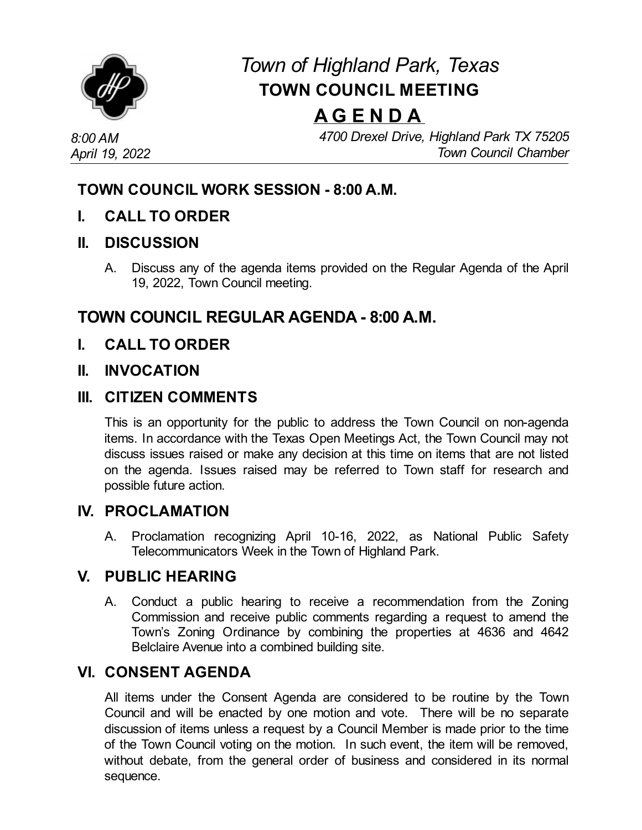

# *Town of Highland Park, Texas* **TOWN COUNCIL MEETING**

# **A G E N D A**

*8:00 AM April 19, 2022* *4700 Drexel Drive, Highland Park TX 75205 Town Council Chamber*

## **TOWN COUNCIL WORK SESSION - 8:00 A.M.**

**I. CALL TO ORDER**

#### **II. DISCUSSION**

A. Discuss any of the agenda items provided on the Regular Agenda of the April 19, 2022, Town Council meeting.

# **TOWN COUNCIL REGULAR AGENDA - 8:00 A.M.**

**I. CALL TO ORDER**

#### **II. INVOCATION**

#### **III. CITIZEN COMMENTS**

This is an opportunity for the public to address the Town Council on non-agenda items. In accordance with the Texas Open Meetings Act, the Town Council may not discuss issues raised or make any decision at this time on items that are not listed on the agenda. Issues raised may be referred to Town staff for research and possible future action.

#### **IV. PROCLAMATION**

A. Proclamation recognizing April 10-16, 2022, as National Public Safety Telecommunicators Week in the Town of Highland Park.

#### **V. PUBLIC HEARING**

A. Conduct a public hearing to receive a [recommendation](file:///C:/Windows/TEMP/CoverSheet.aspx?ItemID=4615&MeetingID=745) from the Zoning Commission and receive public comments regarding a request to amend the Town's Zoning Ordinance by combining the properties at 4636 and 4642 Belclaire Avenue into a combined building site.

### **VI. CONSENT AGENDA**

All items under the Consent Agenda are considered to be routine by the Town Council and will be enacted by one motion and vote. There will be no separate discussion of items unless a request by a Council Member is made prior to the time of the Town Council voting on the motion. In such event, the item will be removed, without debate, from the general order of business and considered in its normal sequence.